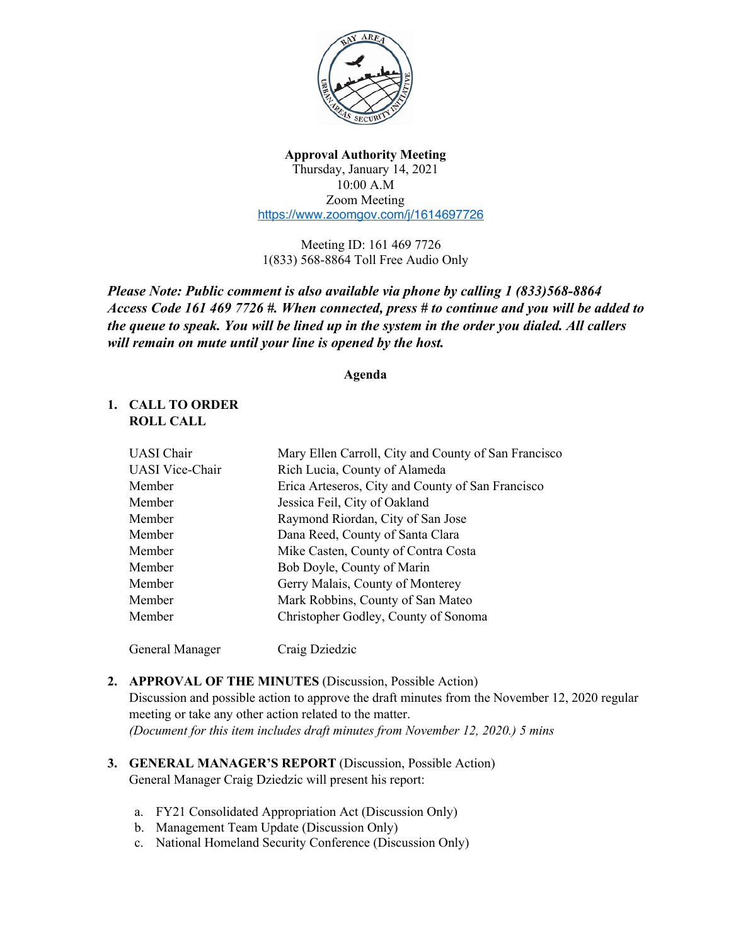

#### **Approval Authority Meeting** Thursday, January 14, 2021 10:00 A.M Zoom Meeting https://www.zoomgov.com/j/1614697726

Meeting ID: 161 469 7726 1(833) 568-8864 Toll Free Audio Only

*Please Note: Public comment is also available via phone by calling 1 (833)568-8864 Access Code 161 469 7726 #. When connected, press # to continue and you will be added to the queue to speak. You will be lined up in the system in the order you dialed. All callers will remain on mute until your line is opened by the host.* 

#### **Agenda**

# **1. CALL TO ORDER ROLL CALL**

| <b>UASI</b> Chair      | Mary Ellen Carroll, City and County of San Francisco |
|------------------------|------------------------------------------------------|
| <b>UASI</b> Vice-Chair | Rich Lucia, County of Alameda                        |
| Member                 | Erica Arteseros, City and County of San Francisco    |
| Member                 | Jessica Feil, City of Oakland                        |
| Member                 | Raymond Riordan, City of San Jose                    |
| Member                 | Dana Reed, County of Santa Clara                     |
| Member                 | Mike Casten, County of Contra Costa                  |
| Member                 | Bob Doyle, County of Marin                           |
| Member                 | Gerry Malais, County of Monterey                     |
| Member                 | Mark Robbins, County of San Mateo                    |
| Member                 | Christopher Godley, County of Sonoma                 |
|                        |                                                      |

General Manager Craig Dziedzic

## **2. APPROVAL OF THE MINUTES** (Discussion, Possible Action)

Discussion and possible action to approve the draft minutes from the November 12, 2020 regular meeting or take any other action related to the matter. *(Document for this item includes draft minutes from November 12, 2020.) 5 mins*

- **3. GENERAL MANAGER'S REPORT** (Discussion, Possible Action) General Manager Craig Dziedzic will present his report:
	- a. FY21 Consolidated Appropriation Act (Discussion Only)
	- b. Management Team Update (Discussion Only)
	- c. National Homeland Security Conference (Discussion Only)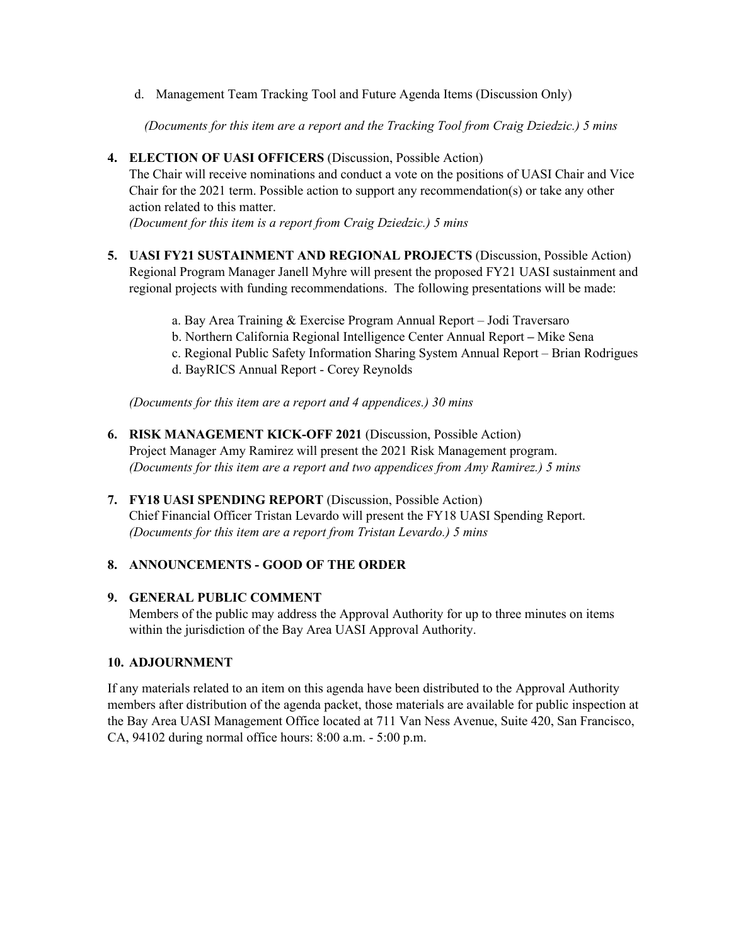d. Management Team Tracking Tool and Future Agenda Items (Discussion Only)

 *(Documents for this item are a report and the Tracking Tool from Craig Dziedzic.) 5 mins*

**4. ELECTION OF UASI OFFICERS** (Discussion, Possible Action)

The Chair will receive nominations and conduct a vote on the positions of UASI Chair and Vice Chair for the 2021 term. Possible action to support any recommendation(s) or take any other action related to this matter.

*(Document for this item is a report from Craig Dziedzic.) 5 mins*

- **5. UASI FY21 SUSTAINMENT AND REGIONAL PROJECTS** (Discussion, Possible Action) Regional Program Manager Janell Myhre will present the proposed FY21 UASI sustainment and regional projects with funding recommendations. The following presentations will be made:
	- a. Bay Area Training & Exercise Program Annual Report Jodi Traversaro
	- b. Northern California Regional Intelligence Center Annual Report **–** Mike Sena
	- c. Regional Public Safety Information Sharing System Annual Report Brian Rodrigues
	- d. BayRICS Annual Report Corey Reynolds

*(Documents for this item are a report and 4 appendices.) 30 mins*

- **6. RISK MANAGEMENT KICK-OFF 2021** (Discussion, Possible Action) Project Manager Amy Ramirez will present the 2021 Risk Management program. *(Documents for this item are a report and two appendices from Amy Ramirez.) 5 mins*
- **7. FY18 UASI SPENDING REPORT** (Discussion, Possible Action) Chief Financial Officer Tristan Levardo will present the FY18 UASI Spending Report. *(Documents for this item are a report from Tristan Levardo.) 5 mins*

## **8. ANNOUNCEMENTS - GOOD OF THE ORDER**

## **9. GENERAL PUBLIC COMMENT**

Members of the public may address the Approval Authority for up to three minutes on items within the jurisdiction of the Bay Area UASI Approval Authority.

#### **10. ADJOURNMENT**

If any materials related to an item on this agenda have been distributed to the Approval Authority members after distribution of the agenda packet, those materials are available for public inspection at the Bay Area UASI Management Office located at 711 Van Ness Avenue, Suite 420, San Francisco, CA, 94102 during normal office hours: 8:00 a.m. - 5:00 p.m.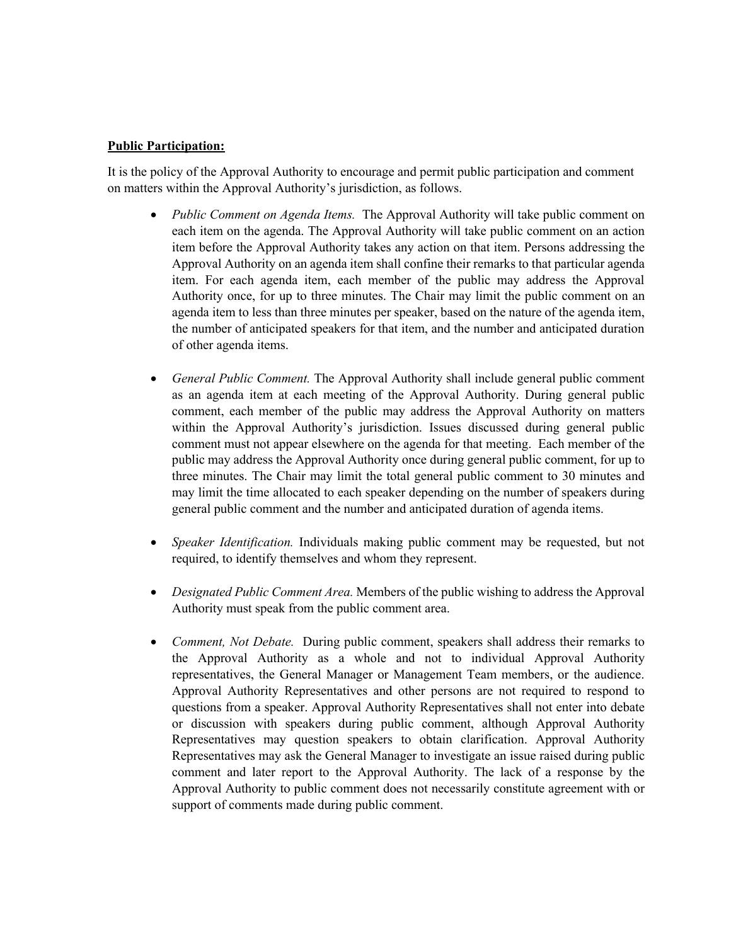#### **Public Participation:**

It is the policy of the Approval Authority to encourage and permit public participation and comment on matters within the Approval Authority's jurisdiction, as follows.

- *Public Comment on Agenda Items.* The Approval Authority will take public comment on each item on the agenda. The Approval Authority will take public comment on an action item before the Approval Authority takes any action on that item. Persons addressing the Approval Authority on an agenda item shall confine their remarks to that particular agenda item. For each agenda item, each member of the public may address the Approval Authority once, for up to three minutes. The Chair may limit the public comment on an agenda item to less than three minutes per speaker, based on the nature of the agenda item, the number of anticipated speakers for that item, and the number and anticipated duration of other agenda items.
- *General Public Comment.* The Approval Authority shall include general public comment as an agenda item at each meeting of the Approval Authority. During general public comment, each member of the public may address the Approval Authority on matters within the Approval Authority's jurisdiction. Issues discussed during general public comment must not appear elsewhere on the agenda for that meeting. Each member of the public may address the Approval Authority once during general public comment, for up to three minutes. The Chair may limit the total general public comment to 30 minutes and may limit the time allocated to each speaker depending on the number of speakers during general public comment and the number and anticipated duration of agenda items.
- *Speaker Identification.* Individuals making public comment may be requested, but not required, to identify themselves and whom they represent.
- *Designated Public Comment Area.* Members of the public wishing to address the Approval Authority must speak from the public comment area.
- *Comment, Not Debate.* During public comment, speakers shall address their remarks to the Approval Authority as a whole and not to individual Approval Authority representatives, the General Manager or Management Team members, or the audience. Approval Authority Representatives and other persons are not required to respond to questions from a speaker. Approval Authority Representatives shall not enter into debate or discussion with speakers during public comment, although Approval Authority Representatives may question speakers to obtain clarification. Approval Authority Representatives may ask the General Manager to investigate an issue raised during public comment and later report to the Approval Authority. The lack of a response by the Approval Authority to public comment does not necessarily constitute agreement with or support of comments made during public comment.